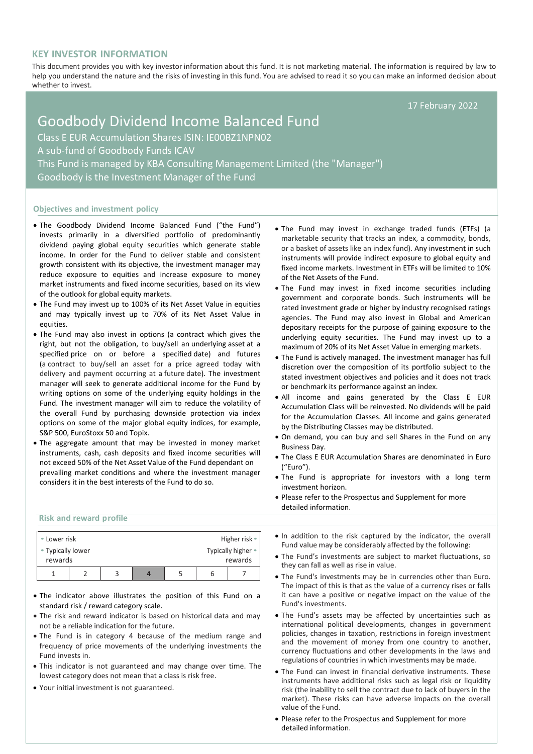## **KEY INVESTOR INFORMATION**

This document provides you with key investor information about this fund. It is not marketing material. The information is required by law to help you understand the nature and the risks of investing in this fund. You are advised to read it so you can make an informed decision about whether to invest.

17 February 2022

# Goodbody Dividend Income Balanced Fund Class E EUR Accumulation Shares ISIN: IE00BZ1NPN02 A sub-fund of Goodbody Funds ICAV This Fund is managed by KBA Consulting Management Limited (the "Manager") Goodbody is the Investment Manager of the Fund

### **Objectives and investment policy**

- The Goodbody Dividend Income Balanced Fund ("the Fund") invests primarily in a diversified portfolio of predominantly dividend paying global equity securities which generate stable income. In order for the Fund to deliver stable and consistent growth consistent with its objective, the investment manager may reduce exposure to equities and increase exposure to money market instruments and fixed income securities, based on its view of the outlook for global equity markets.
- The Fund may invest up to 100% of its Net Asset Value in equities and may typically invest up to 70% of its Net Asset Value in equities.
- The Fund may also invest in options (a contract which gives the right, but not the obligation, to buy/sell an [underlying](https://en.wikipedia.org/wiki/Underlying) [asset](https://en.wikipedia.org/wiki/Asset) at a specified price on or before a specified [date\)](https://en.wikipedia.org/wiki/Expiration_(options)) and futures (a contract to buy/sell an asset for a price agreed today with delivery and payment occurring at a future date). The investment manager will seek to generate additional income for the Fund by writing options on some of the underlying equity holdings in the Fund. The investment manager will aim to reduce the volatility of the overall Fund by purchasing downside protection via index options on some of the major global equity indices, for example, S&P 500, EuroStoxx 50 and Topix.
- The aggregate amount that may be invested in money market instruments, cash, cash deposits and fixed income securities will not exceed 50% of the Net Asset Value of the Fund dependant on prevailing market conditions and where the investment manager considers it in the best interests of the Fund to do so.
- The Fund may invest in exchange traded funds (ETFs) (a marketable security that tracks an index, a commodity, bonds, or a basket of assets like an index fund). Any investment in such instruments will provide indirect exposure to global equity and fixed income markets. Investment in ETFs will be limited to 10% of the Net Assets of the Fund.
- The Fund may invest in fixed income securities including government and corporate bonds. Such instruments will be rated investment grade or higher by industry recognised ratings agencies. The Fund may also invest in Global and American depositary receipts for the purpose of gaining exposure to the underlying equity securities. The Fund may invest up to a maximum of 20% of its Net Asset Value in emerging markets.
- The Fund is actively managed. The investment manager has full discretion over the composition of its portfolio subject to the stated investment objectives and policies and it does not track or benchmark its performance against an index.
- All income and gains generated by the Class E EUR Accumulation Class will be reinvested. No dividends will be paid for the Accumulation Classes. All income and gains generated by the Distributing Classes may be distributed.
- On demand, you can buy and sell Shares in the Fund on any Business Day.
- The Class E EUR Accumulation Shares are denominated in Euro ("Euro").
- The Fund is appropriate for investors with a long term investment horizon.
- Please refer to the Prospectus and Supplement for more detailed information.

## **Risk and reward profile**

| • Lower risk      |  |  |   | Higher risk •      |
|-------------------|--|--|---|--------------------|
|                   |  |  |   |                    |
| • Typically lower |  |  |   | Typically higher • |
| rewards           |  |  |   | rewards            |
|                   |  |  | b |                    |

- The indicator above illustrates the position of this Fund on a standard risk / reward category scale.
- The risk and reward indicator is based on historical data and may not be a reliable indication for the future.
- The Fund is in category 4 because of the medium range and frequency of price movements of the underlying investments the Fund invests in.
- This indicator is not guaranteed and may change over time. The lowest category does not mean that a class is risk free.
- Your initial investment is not guaranteed.
- In addition to the risk captured by the indicator, the overall Fund value may be considerably affected by the following:
- The Fund's investments are subject to market fluctuations, so they can fall as well as rise in value.
- The Fund's investments may be in currencies other than Euro. The impact of this is that as the value of a currency rises or falls it can have a positive or negative impact on the value of the Fund's investments.
- The Fund's assets may be affected by uncertainties such as international political developments, changes in government policies, changes in taxation, restrictions in foreign investment and the movement of money from one country to another, currency fluctuations and other developments in the laws and regulations of countries in which investments may be made.
- The Fund can invest in financial derivative instruments. These instruments have additional risks such as legal risk or liquidity risk (the inability to sell the contract due to lack of buyers in the market). These risks can have adverse impacts on the overall value of the Fund.
- Please refer to the Prospectus and Supplement for more detailed information.